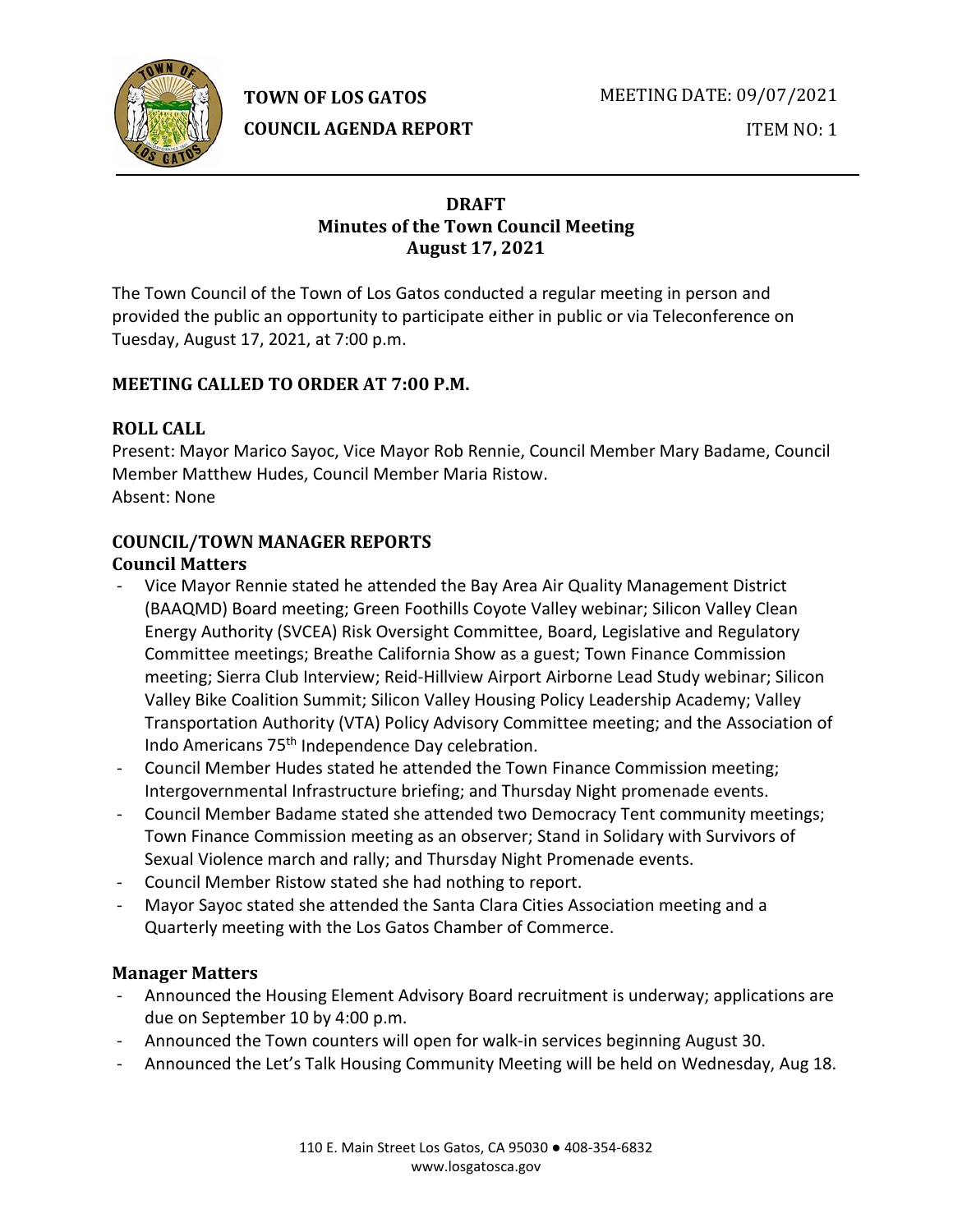**TOWN OF LOS GATOS** 

MEETING DATE: 09/07/2021



**COUNCIL AGENDA REPORT**

ITEM NO: 1

## **DRAFT Minutes of the Town Council Meeting August 17, 2021**

The Town Council of the Town of Los Gatos conducted a regular meeting in person and provided the public an opportunity to participate either in public or via Teleconference on Tuesday, August 17, 2021, at 7:00 p.m.

# **MEETING CALLED TO ORDER AT 7:00 P.M.**

# **ROLL CALL**

Present: Mayor Marico Sayoc, Vice Mayor Rob Rennie, Council Member Mary Badame, Council Member Matthew Hudes, Council Member Maria Ristow. Absent: None

# **COUNCIL/TOWN MANAGER REPORTS**

# **Council Matters**

- Vice Mayor Rennie stated he attended the Bay Area Air Quality Management District (BAAQMD) Board meeting; Green Foothills Coyote Valley webinar; Silicon Valley Clean Energy Authority (SVCEA) Risk Oversight Committee, Board, Legislative and Regulatory Committee meetings; Breathe California Show as a guest; Town Finance Commission meeting; Sierra Club Interview; Reid-Hillview Airport Airborne Lead Study webinar; Silicon Valley Bike Coalition Summit; Silicon Valley Housing Policy Leadership Academy; Valley Transportation Authority (VTA) Policy Advisory Committee meeting; and the Association of Indo Americans 75th Independence Day celebration.
- Council Member Hudes stated he attended the Town Finance Commission meeting; Intergovernmental Infrastructure briefing; and Thursday Night promenade events.
- Council Member Badame stated she attended two Democracy Tent community meetings; Town Finance Commission meeting as an observer; Stand in Solidary with Survivors of Sexual Violence march and rally; and Thursday Night Promenade events.
- Council Member Ristow stated she had nothing to report.
- Mayor Sayoc stated she attended the Santa Clara Cities Association meeting and a Quarterly meeting with the Los Gatos Chamber of Commerce.

# **Manager Matters**

- Announced the Housing Element Advisory Board recruitment is underway; applications are due on September 10 by 4:00 p.m.
- Announced the Town counters will open for walk-in services beginning August 30.
- Announced the Let's Talk Housing Community Meeting will be held on Wednesday, Aug 18.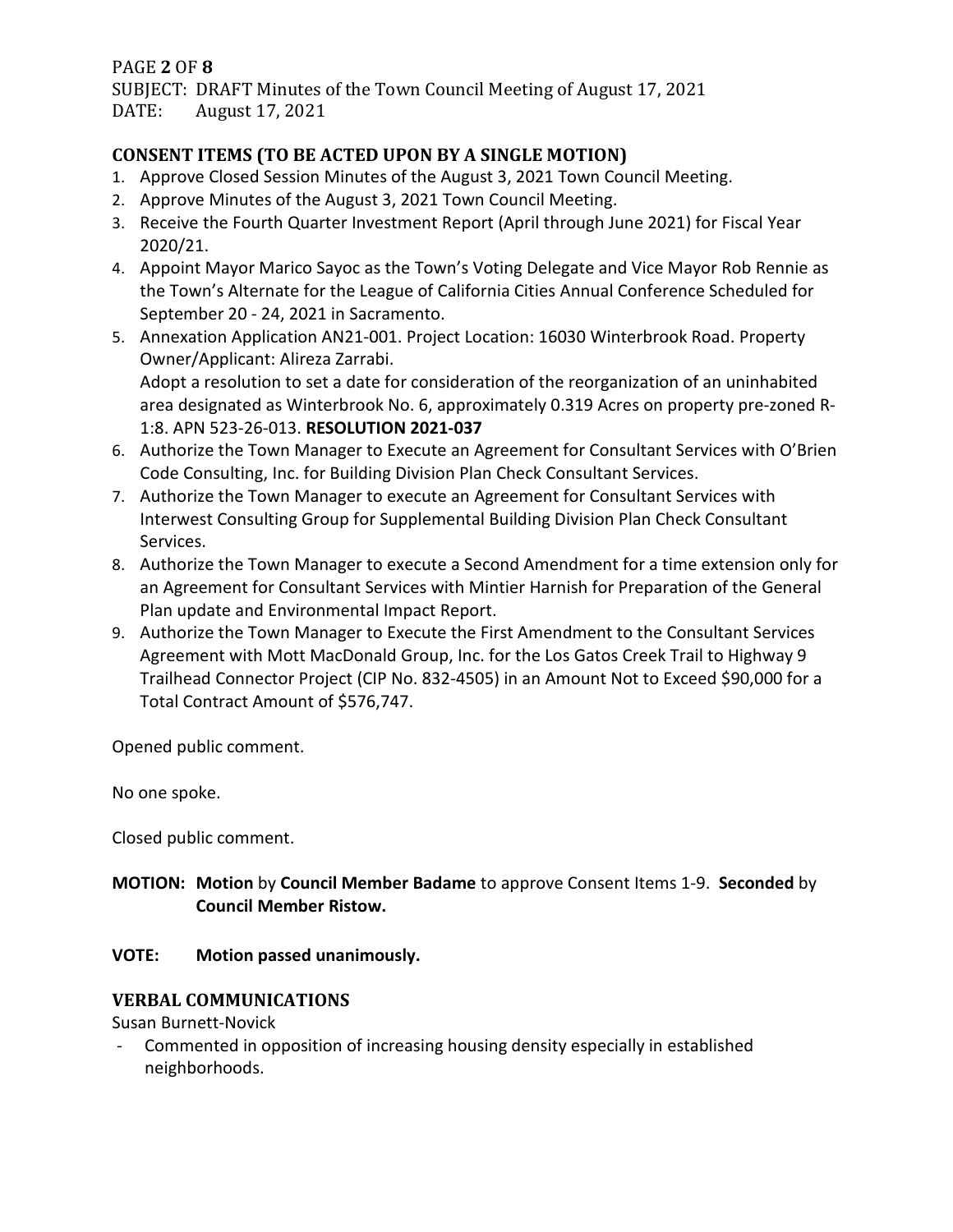### PAGE **2** OF **8**

SUBJECT: DRAFT Minutes of the Town Council Meeting of August 17, 2021<br>DATE: August 17, 2021 August 17, 2021

# **CONSENT ITEMS (TO BE ACTED UPON BY A SINGLE MOTION)**

- 1. Approve Closed Session Minutes of the August 3, 2021 Town Council Meeting.
- 2. Approve Minutes of the August 3, 2021 Town Council Meeting.
- 3. Receive the Fourth Quarter Investment Report (April through June 2021) for Fiscal Year 2020/21.
- 4. Appoint Mayor Marico Sayoc as the Town's Voting Delegate and Vice Mayor Rob Rennie as the Town's Alternate for the League of California Cities Annual Conference Scheduled for September 20 - 24, 2021 in Sacramento.
- 5. Annexation Application AN21-001. Project Location: 16030 Winterbrook Road. Property Owner/Applicant: Alireza Zarrabi. Adopt a resolution to set a date for consideration of the reorganization of an uninhabited area designated as Winterbrook No. 6, approximately 0.319 Acres on property pre-zoned R-

1:8. APN 523-26-013. **RESOLUTION 2021-037**

- 6. Authorize the Town Manager to Execute an Agreement for Consultant Services with O'Brien Code Consulting, Inc. for Building Division Plan Check Consultant Services.
- 7. Authorize the Town Manager to execute an Agreement for Consultant Services with Interwest Consulting Group for Supplemental Building Division Plan Check Consultant Services.
- 8. Authorize the Town Manager to execute a Second Amendment for a time extension only for an Agreement for Consultant Services with Mintier Harnish for Preparation of the General Plan update and Environmental Impact Report.
- 9. Authorize the Town Manager to Execute the First Amendment to the Consultant Services Agreement with Mott MacDonald Group, Inc. for the Los Gatos Creek Trail to Highway 9 Trailhead Connector Project (CIP No. 832-4505) in an Amount Not to Exceed \$90,000 for a Total Contract Amount of \$576,747.

Opened public comment.

No one spoke.

Closed public comment.

**MOTION: Motion** by **Council Member Badame** to approve Consent Items 1-9. **Seconded** by **Council Member Ristow.**

### **VOTE: Motion passed unanimously.**

## **VERBAL COMMUNICATIONS**

Susan Burnett-Novick

- Commented in opposition of increasing housing density especially in established neighborhoods.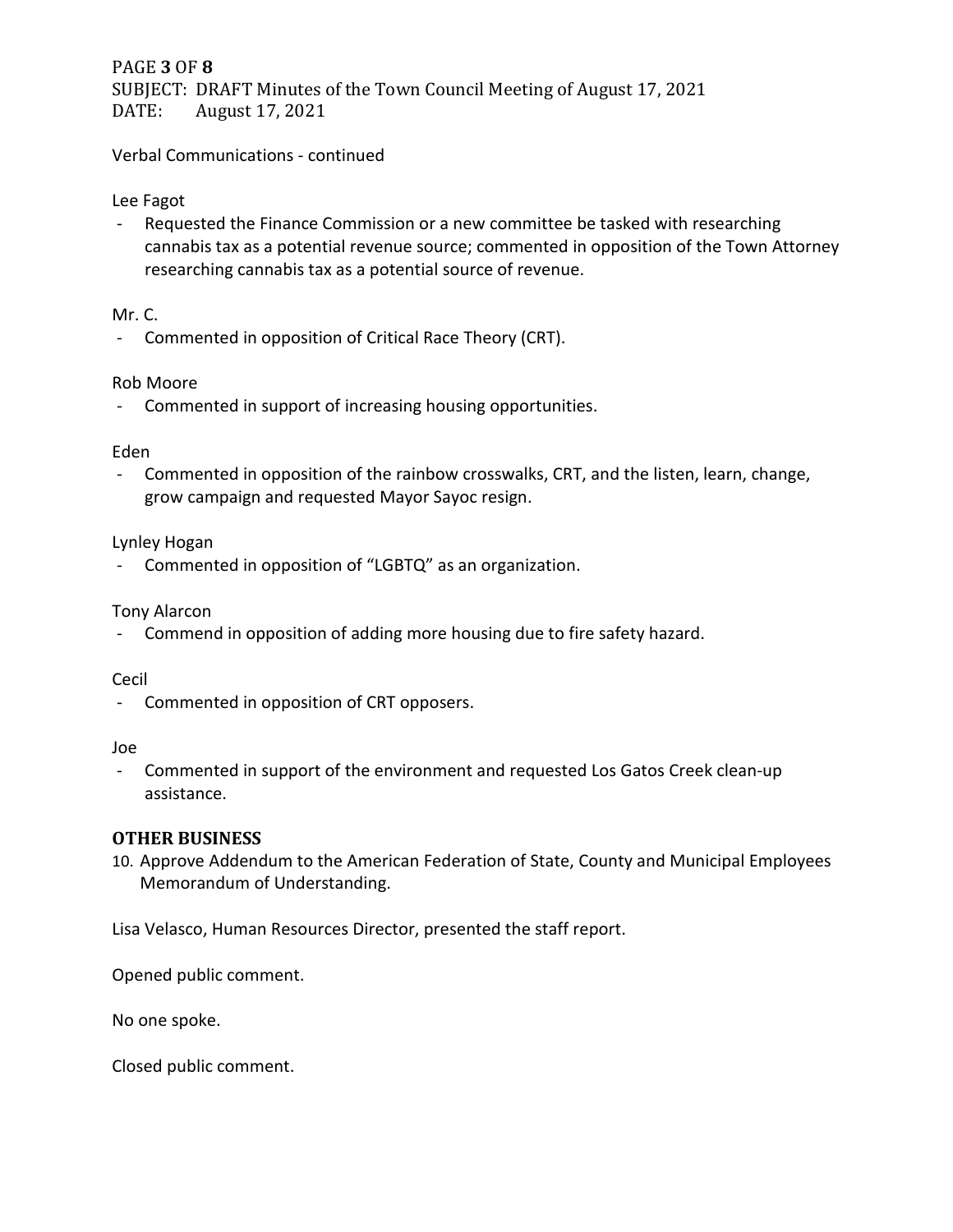### PAGE **3** OF **8**

SUBJECT: DRAFT Minutes of the Town Council Meeting of August 17, 2021<br>DATE: August 17, 2021 August 17, 2021

Verbal Communications - continued

### Lee Fagot

- Requested the Finance Commission or a new committee be tasked with researching cannabis tax as a potential revenue source; commented in opposition of the Town Attorney researching cannabis tax as a potential source of revenue.

### Mr. C.

- Commented in opposition of Critical Race Theory (CRT).

### Rob Moore

- Commented in support of increasing housing opportunities.

### Eden

- Commented in opposition of the rainbow crosswalks, CRT, and the listen, learn, change, grow campaign and requested Mayor Sayoc resign.

### Lynley Hogan

- Commented in opposition of "LGBTQ" as an organization.

### Tony Alarcon

- Commend in opposition of adding more housing due to fire safety hazard.

### Cecil

- Commented in opposition of CRT opposers.

### Joe

- Commented in support of the environment and requested Los Gatos Creek clean-up assistance.

### **OTHER BUSINESS**

10. Approve Addendum to the American Federation of State, County and Municipal Employees Memorandum of Understanding.

Lisa Velasco, Human Resources Director, presented the staff report.

Opened public comment.

No one spoke.

Closed public comment.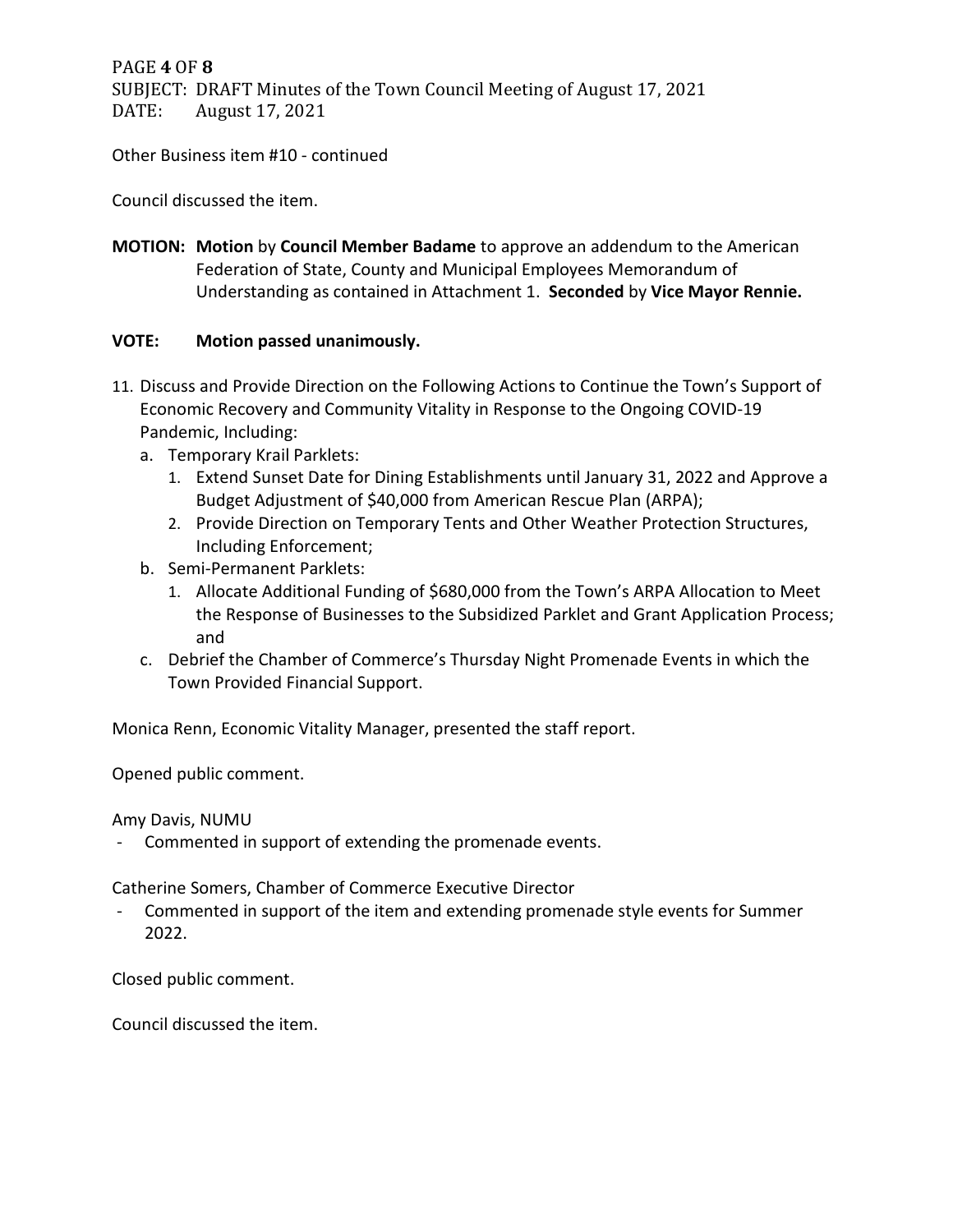PAGE **4** OF **8** SUBJECT: DRAFT Minutes of the Town Council Meeting of August 17, 2021 DATE: August 17, 2021

Other Business item #10 - continued

Council discussed the item.

**MOTION: Motion** by **Council Member Badame** to approve an addendum to the American Federation of State, County and Municipal Employees Memorandum of Understanding as contained in Attachment 1. **Seconded** by **Vice Mayor Rennie.**

### **VOTE: Motion passed unanimously.**

- 11. Discuss and Provide Direction on the Following Actions to Continue the Town's Support of Economic Recovery and Community Vitality in Response to the Ongoing COVID-19 Pandemic, Including:
	- a. Temporary Krail Parklets:
		- 1. Extend Sunset Date for Dining Establishments until January 31, 2022 and Approve a Budget Adjustment of \$40,000 from American Rescue Plan (ARPA);
		- 2. Provide Direction on Temporary Tents and Other Weather Protection Structures, Including Enforcement;
	- b. Semi-Permanent Parklets:
		- 1. Allocate Additional Funding of \$680,000 from the Town's ARPA Allocation to Meet the Response of Businesses to the Subsidized Parklet and Grant Application Process; and
	- c. Debrief the Chamber of Commerce's Thursday Night Promenade Events in which the Town Provided Financial Support.

Monica Renn, Economic Vitality Manager, presented the staff report.

Opened public comment.

Amy Davis, NUMU

- Commented in support of extending the promenade events.

Catherine Somers, Chamber of Commerce Executive Director

Commented in support of the item and extending promenade style events for Summer 2022.

Closed public comment.

Council discussed the item.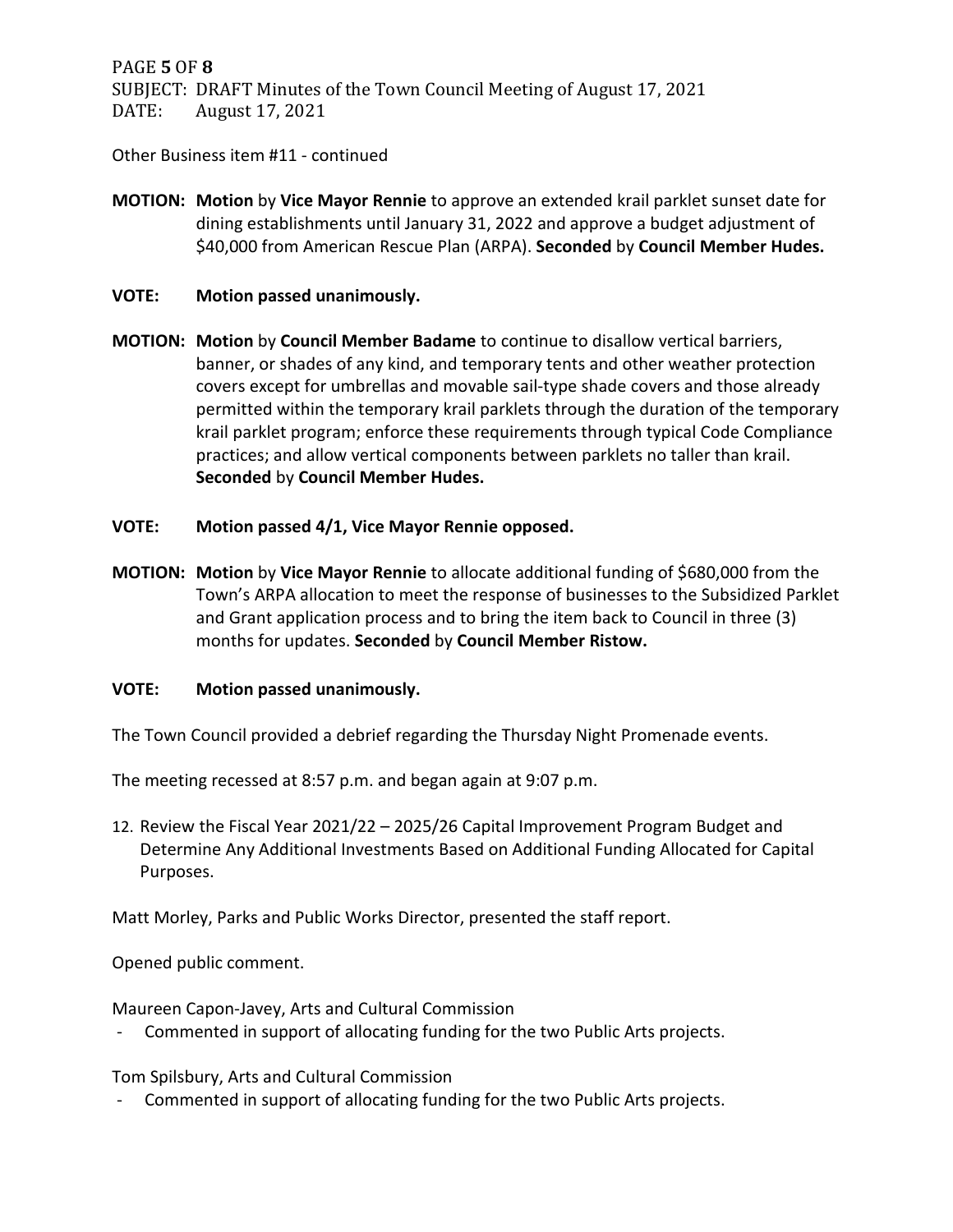PAGE **5** OF **8** SUBJECT: DRAFT Minutes of the Town Council Meeting of August 17, 2021<br>DATE: August 17, 2021 August 17, 2021

Other Business item #11 - continued

- **MOTION: Motion** by **Vice Mayor Rennie** to approve an extended krail parklet sunset date for dining establishments until January 31, 2022 and approve a budget adjustment of \$40,000 from American Rescue Plan (ARPA). **Seconded** by **Council Member Hudes.**
- **VOTE: Motion passed unanimously.**
- **MOTION: Motion** by **Council Member Badame** to continue to disallow vertical barriers, banner, or shades of any kind, and temporary tents and other weather protection covers except for umbrellas and movable sail-type shade covers and those already permitted within the temporary krail parklets through the duration of the temporary krail parklet program; enforce these requirements through typical Code Compliance practices; and allow vertical components between parklets no taller than krail. **Seconded** by **Council Member Hudes.**
- **VOTE: Motion passed 4/1, Vice Mayor Rennie opposed.**
- **MOTION: Motion** by **Vice Mayor Rennie** to allocate additional funding of \$680,000 from the Town's ARPA allocation to meet the response of businesses to the Subsidized Parklet and Grant application process and to bring the item back to Council in three (3) months for updates. **Seconded** by **Council Member Ristow.**

### **VOTE: Motion passed unanimously.**

The Town Council provided a debrief regarding the Thursday Night Promenade events.

The meeting recessed at 8:57 p.m. and began again at 9:07 p.m.

12. Review the Fiscal Year 2021/22 – 2025/26 Capital Improvement Program Budget and Determine Any Additional Investments Based on Additional Funding Allocated for Capital Purposes.

Matt Morley, Parks and Public Works Director, presented the staff report.

Opened public comment.

Maureen Capon-Javey, Arts and Cultural Commission

- Commented in support of allocating funding for the two Public Arts projects.

Tom Spilsbury, Arts and Cultural Commission

- Commented in support of allocating funding for the two Public Arts projects.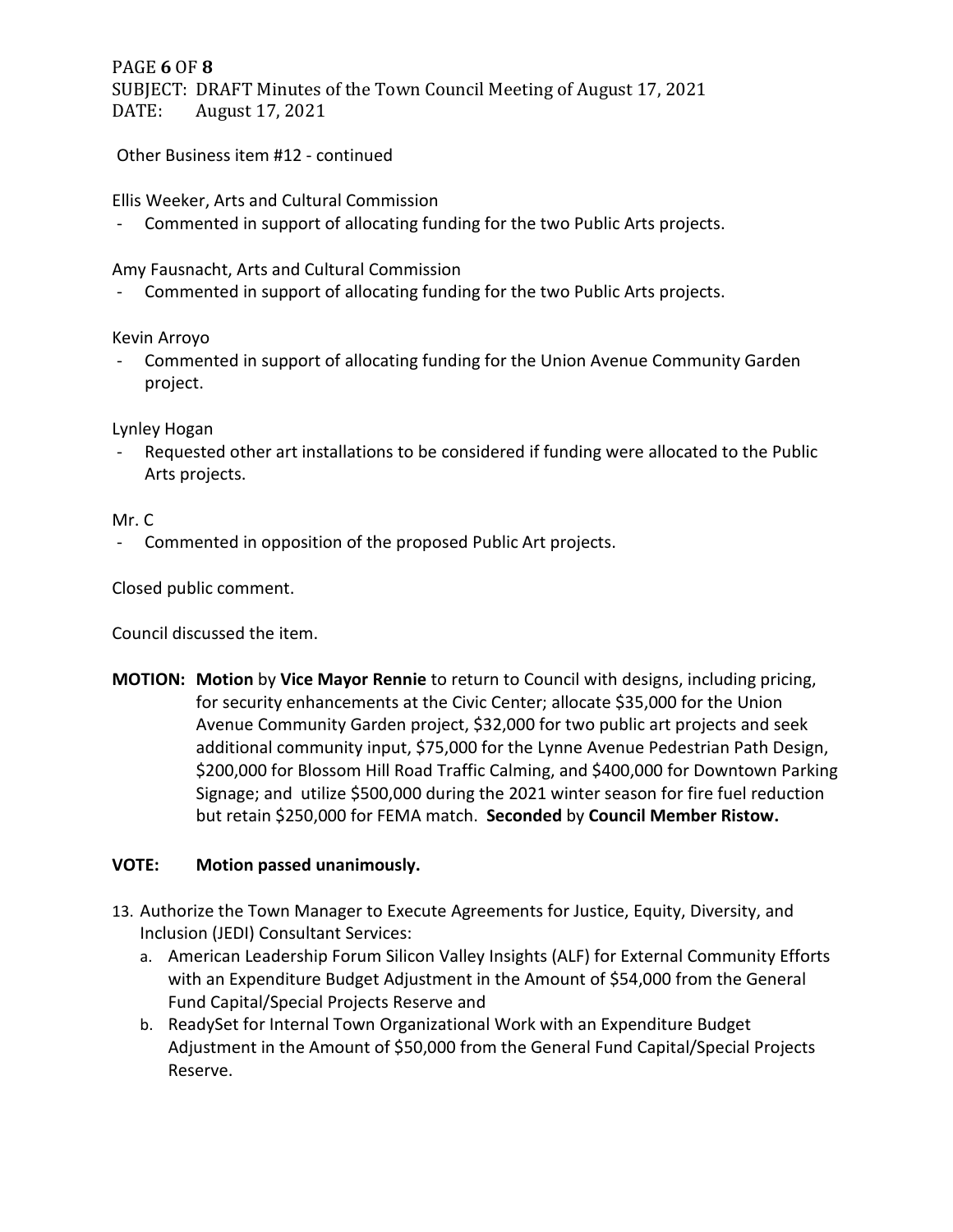## PAGE **6** OF **8**

SUBJECT: DRAFT Minutes of the Town Council Meeting of August 17, 2021<br>DATE: August 17, 2021 August 17, 2021

Other Business item #12 - continued

Ellis Weeker, Arts and Cultural Commission

- Commented in support of allocating funding for the two Public Arts projects.

Amy Fausnacht, Arts and Cultural Commission

- Commented in support of allocating funding for the two Public Arts projects.

Kevin Arroyo

- Commented in support of allocating funding for the Union Avenue Community Garden project.

Lynley Hogan

Requested other art installations to be considered if funding were allocated to the Public Arts projects.

### Mr. C

- Commented in opposition of the proposed Public Art projects.

Closed public comment.

Council discussed the item.

**MOTION: Motion** by **Vice Mayor Rennie** to return to Council with designs, including pricing, for security enhancements at the Civic Center; allocate \$35,000 for the Union Avenue Community Garden project, \$32,000 for two public art projects and seek additional community input, \$75,000 for the Lynne Avenue Pedestrian Path Design, \$200,000 for Blossom Hill Road Traffic Calming, and \$400,000 for Downtown Parking Signage; and utilize \$500,000 during the 2021 winter season for fire fuel reduction but retain \$250,000 for FEMA match. **Seconded** by **Council Member Ristow.**

### **VOTE: Motion passed unanimously.**

- 13. Authorize the Town Manager to Execute Agreements for Justice, Equity, Diversity, and Inclusion (JEDI) Consultant Services:
	- a. American Leadership Forum Silicon Valley Insights (ALF) for External Community Efforts with an Expenditure Budget Adjustment in the Amount of \$54,000 from the General Fund Capital/Special Projects Reserve and
	- b. ReadySet for Internal Town Organizational Work with an Expenditure Budget Adjustment in the Amount of \$50,000 from the General Fund Capital/Special Projects Reserve.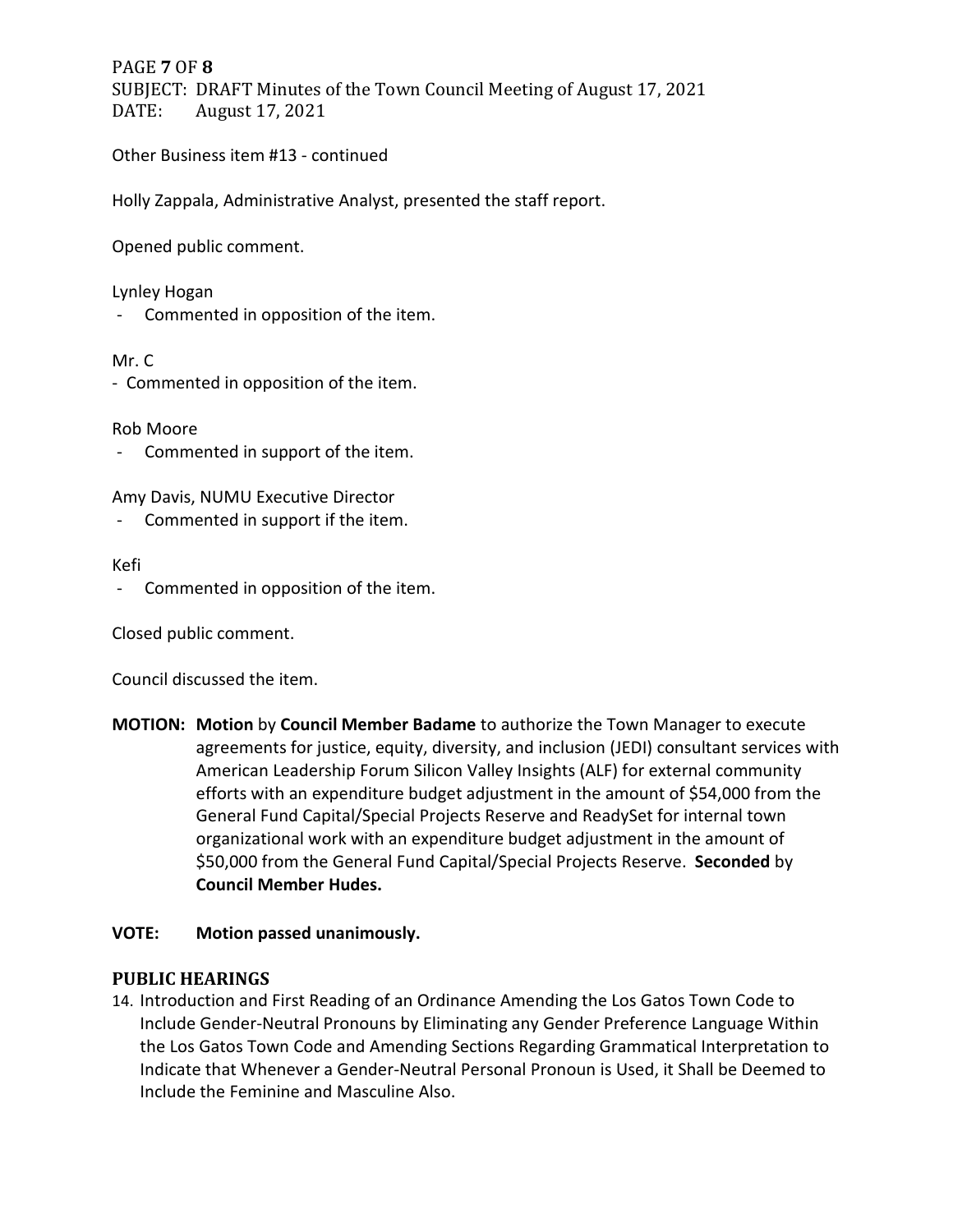## PAGE **7** OF **8** SUBJECT: DRAFT Minutes of the Town Council Meeting of August 17, 2021<br>DATE: August 17, 2021 August 17, 2021

Other Business item #13 - continued

Holly Zappala, Administrative Analyst, presented the staff report.

Opened public comment.

#### Lynley Hogan

- Commented in opposition of the item.

#### Mr. C

- Commented in opposition of the item.

Rob Moore

- Commented in support of the item.

Amy Davis, NUMU Executive Director

- Commented in support if the item.

#### Kefi

- Commented in opposition of the item.

Closed public comment.

Council discussed the item.

**MOTION: Motion** by **Council Member Badame** to authorize the Town Manager to execute agreements for justice, equity, diversity, and inclusion (JEDI) consultant services with American Leadership Forum Silicon Valley Insights (ALF) for external community efforts with an expenditure budget adjustment in the amount of \$54,000 from the General Fund Capital/Special Projects Reserve and ReadySet for internal town organizational work with an expenditure budget adjustment in the amount of \$50,000 from the General Fund Capital/Special Projects Reserve. **Seconded** by **Council Member Hudes.**

### **VOTE: Motion passed unanimously.**

### **PUBLIC HEARINGS**

14. Introduction and First Reading of an Ordinance Amending the Los Gatos Town Code to Include Gender-Neutral Pronouns by Eliminating any Gender Preference Language Within the Los Gatos Town Code and Amending Sections Regarding Grammatical Interpretation to Indicate that Whenever a Gender-Neutral Personal Pronoun is Used, it Shall be Deemed to Include the Feminine and Masculine Also.